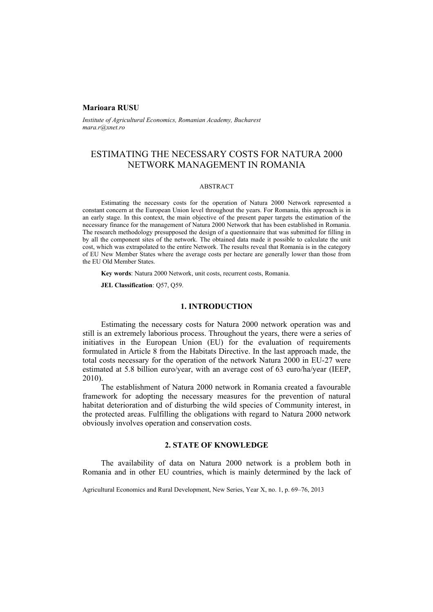#### **Marioara RUSU**

*Institute of Agricultural Economics, Romanian Academy, Bucharest mara.r@xnet.ro* 

# ESTIMATING THE NECESSARY COSTS FOR NATURA 2000 NETWORK MANAGEMENT IN ROMANIA

### ABSTRACT

Estimating the necessary costs for the operation of Natura 2000 Network represented a constant concern at the European Union level throughout the years. For Romania, this approach is in an early stage. In this context, the main objective of the present paper targets the estimation of the necessary finance for the management of Natura 2000 Network that has been established in Romania. The research methodology presupposed the design of a questionnaire that was submitted for filling in by all the component sites of the network. The obtained data made it possible to calculate the unit cost, which was extrapolated to the entire Network. The results reveal that Romania is in the category of EU New Member States where the average costs per hectare are generally lower than those from the EU Old Member States.

**Key words**: Natura 2000 Network, unit costs, recurrent costs, Romania.

**JEL Classification**: Q57, Q59.

## **1. INTRODUCTION**

Estimating the necessary costs for Natura 2000 network operation was and still is an extremely laborious process. Throughout the years, there were a series of initiatives in the European Union (EU) for the evaluation of requirements formulated in Article 8 from the Habitats Directive. In the last approach made, the total costs necessary for the operation of the network Natura 2000 in EU-27 were estimated at 5.8 billion euro/year, with an average cost of 63 euro/ha/year (IEEP, 2010).

The establishment of Natura 2000 network in Romania created a favourable framework for adopting the necessary measures for the prevention of natural habitat deterioration and of disturbing the wild species of Community interest, in the protected areas. Fulfilling the obligations with regard to Natura 2000 network obviously involves operation and conservation costs.

## **2. STATE OF KNOWLEDGE**

The availability of data on Natura 2000 network is a problem both in Romania and in other EU countries, which is mainly determined by the lack of

Agricultural Economics and Rural Development, New Series, Year X, no. 1, p. 69–76, 2013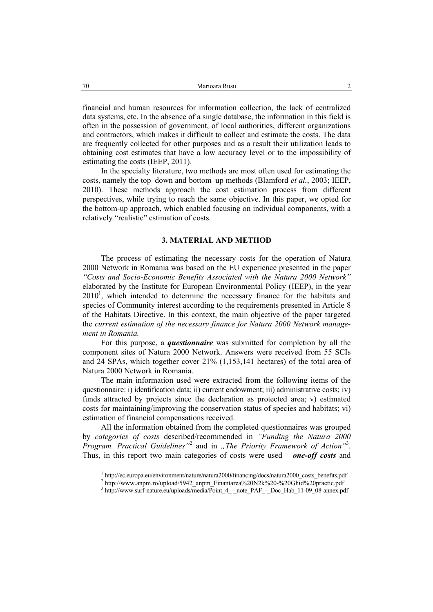financial and human resources for information collection, the lack of centralized data systems, etc. In the absence of a single database, the information in this field is often in the possession of government, of local authorities, different organizations and contractors, which makes it difficult to collect and estimate the costs. The data are frequently collected for other purposes and as a result their utilization leads to obtaining cost estimates that have a low accuracy level or to the impossibility of estimating the costs (IEEP, 2011).

In the specialty literature, two methods are most often used for estimating the costs, namely the top–down and bottom–up methods (Blamford *et al.*, 2003; IEEP, 2010). These methods approach the cost estimation process from different perspectives, while trying to reach the same objective. In this paper, we opted for the bottom-up approach, which enabled focusing on individual components, with a relatively "realistic" estimation of costs.

#### **3. MATERIAL AND METHOD**

The process of estimating the necessary costs for the operation of Natura 2000 Network in Romania was based on the EU experience presented in the paper *"Costs and Socio-Economic Benefits Associated with the Natura 2000 Network"* elaborated by the Institute for European Environmental Policy (IEEP), in the year  $2010<sup>1</sup>$ , which intended to determine the necessary finance for the habitats and species of Community interest according to the requirements presented in Article 8 of the Habitats Directive. In this context, the main objective of the paper targeted the *current estimation of the necessary finance for Natura 2000 Network management in Romania.*

For this purpose, a *questionnaire* was submitted for completion by all the component sites of Natura 2000 Network. Answers were received from 55 SCIs and 24 SPAs, which together cover 21% (1,153,141 hectares) of the total area of Natura 2000 Network in Romania.

The main information used were extracted from the following items of the questionnaire: i) identification data; ii) current endowment; iii) administrative costs; iv) funds attracted by projects since the declaration as protected area; v) estimated costs for maintaining/improving the conservation status of species and habitats; vi) estimation of financial compensations received.

All the information obtained from the completed questionnaires was grouped by *categories of costs* described/recommended in *"Funding the Natura 2000*  Program. Practical Guidelines<sup>"2</sup> and in "The Priority Framework of Action<sup>"3</sup>. Thus, in this report two main categories of costs were used – *one-off costs* and

<sup>&</sup>lt;sup>1</sup> http://ec.europa.eu/environment/nature/natura2000/financing/docs/natura2000\_costs\_benefits.pdf  $^2$  http://www.appm.ro/upload/5042\_appm.Finantspage/200721-9/20\_9/20Gbid9/20ppagtia.pdf

 $h_{\text{http://www.anpm.no/upload/5942-anpm-Finantarea%20N2k%20-%20Ghid%20practic.pdf}$ 

<sup>&</sup>lt;sup>3</sup> http://www.surf-nature.eu/uploads/media/Point\_4\_-\_note\_PAF\_-\_Doc\_Hab\_11-09\_08-annex.pdf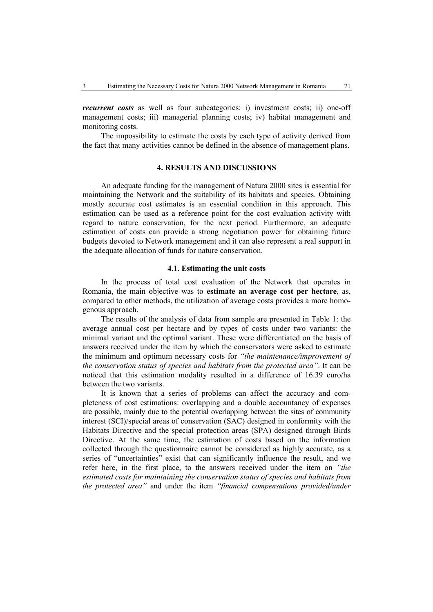*recurrent costs* as well as four subcategories: i) investment costs; ii) one-off management costs; iii) managerial planning costs; iv) habitat management and monitoring costs.

The impossibility to estimate the costs by each type of activity derived from the fact that many activities cannot be defined in the absence of management plans.

#### **4. RESULTS AND DISCUSSIONS**

An adequate funding for the management of Natura 2000 sites is essential for maintaining the Network and the suitability of its habitats and species. Obtaining mostly accurate cost estimates is an essential condition in this approach. This estimation can be used as a reference point for the cost evaluation activity with regard to nature conservation, for the next period. Furthermore, an adequate estimation of costs can provide a strong negotiation power for obtaining future budgets devoted to Network management and it can also represent a real support in the adequate allocation of funds for nature conservation.

## **4.1. Estimating the unit costs**

In the process of total cost evaluation of the Network that operates in Romania, the main objective was to **estimate an average cost per hectare**, as, compared to other methods, the utilization of average costs provides a more homogenous approach.

The results of the analysis of data from sample are presented in Table 1: the average annual cost per hectare and by types of costs under two variants: the minimal variant and the optimal variant. These were differentiated on the basis of answers received under the item by which the conservators were asked to estimate the minimum and optimum necessary costs for *"the maintenance/improvement of the conservation status of species and habitats from the protected area"*. It can be noticed that this estimation modality resulted in a difference of 16.39 euro/ha between the two variants.

It is known that a series of problems can affect the accuracy and completeness of cost estimations: overlapping and a double accountancy of expenses are possible, mainly due to the potential overlapping between the sites of community interest (SCI)/special areas of conservation (SAC) designed in conformity with the Habitats Directive and the special protection areas (SPA) designed through Birds Directive. At the same time, the estimation of costs based on the information collected through the questionnaire cannot be considered as highly accurate, as a series of "uncertainties" exist that can significantly influence the result, and we refer here, in the first place, to the answers received under the item on *"the estimated costs for maintaining the conservation status of species and habitats from the protected area"* and under the item *"financial compensations provided/under*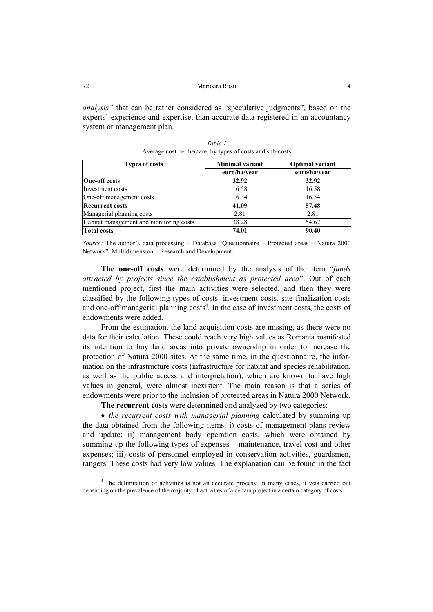*analysis"* that can be rather considered as "speculative judgments", based on the experts' experience and expertise, than accurate data registered in an accountancy system or management plan.

| <b>Types of costs</b>                   | <b>Minimal variant</b> | <b>Optimal variant</b> |  |
|-----------------------------------------|------------------------|------------------------|--|
|                                         | euro/ha/year           | euro/ha/year           |  |
| <b>One-off costs</b>                    | 32.92                  | 32.92                  |  |
| Investment costs                        | 16.58                  | 16.58                  |  |
| One-off management costs                | 16.34                  | 16.34                  |  |
| <b>Recurrent costs</b>                  | 41.09                  | 57.48                  |  |
| Managerial planning costs               | 2.81                   | 2.81                   |  |
| Habitat management and monitoring costs | 38.28                  | 54.67                  |  |
| <b>Total costs</b>                      | 74.01                  | 90.40                  |  |

*Table 1*  Average cost per hectare, by types of costs and sub-costs

*Source:* The author's data processing – Database "Questionnaire – Protected areas – Natura 2000 Network", Multidimension – Research and Development.

**The one-off costs** were determined by the analysis of the item "*funds attracted by projects since the establishment as protected area*". Out of each mentioned project, first the main activities were selected, and then they were classified by the following types of costs: investment costs, site finalization costs and one-off managerial planning costs<sup>4</sup>. In the case of investment costs, the costs of endowments were added.

From the estimation, the land acquisition costs are missing, as there were no data for their calculation. These could reach very high values as Romania manifested its intention to buy land areas into private ownership in order to increase the protection of Natura 2000 sites. At the same time, in the questionnaire, the information on the infrastructure costs (infrastructure for habitat and species rehabilitation, as well as the public access and interpretation), which are known to have high values in general, were almost inexistent. The main reason is that a series of endowments were prior to the inclusion of protected areas in Natura 2000 Network.

**The recurrent costs** were determined and analyzed by two categories:

• *the recurrent costs with managerial planning* calculated by summing up the data obtained from the following items: i) costs of management plans review and update; ii) management body operation costs, which were obtained by summing up the following types of expenses – maintenance, travel cost and other expenses; iii) costs of personnel employed in conservation activities, guardsmen, rangers. These costs had very low values. The explanation can be found in the fact

<sup>4</sup> The delimitation of activities is not an accurate process: in many cases, it was carried out depending on the prevalence of the majority of activities of a certain project in a certain category of costs.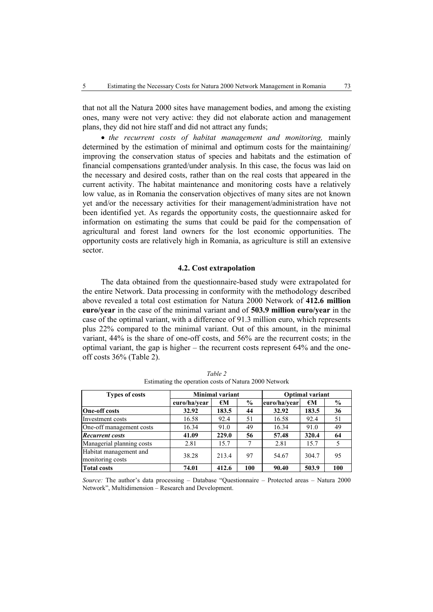that not all the Natura 2000 sites have management bodies, and among the existing ones, many were not very active: they did not elaborate action and management plans, they did not hire staff and did not attract any funds;

• *the recurrent costs of habitat management and monitoring,* mainly determined by the estimation of minimal and optimum costs for the maintaining/ improving the conservation status of species and habitats and the estimation of financial compensations granted/under analysis. In this case, the focus was laid on the necessary and desired costs, rather than on the real costs that appeared in the current activity. The habitat maintenance and monitoring costs have a relatively low value, as in Romania the conservation objectives of many sites are not known yet and/or the necessary activities for their management/administration have not been identified yet. As regards the opportunity costs, the questionnaire asked for information on estimating the sums that could be paid for the compensation of agricultural and forest land owners for the lost economic opportunities. The opportunity costs are relatively high in Romania, as agriculture is still an extensive sector.

#### **4.2. Cost extrapolation**

The data obtained from the questionnaire-based study were extrapolated for the entire Network. Data processing in conformity with the methodology described above revealed a total cost estimation for Natura 2000 Network of **412.6 million euro/year** in the case of the minimal variant and of **503.9 million euro/year** in the case of the optimal variant, with a difference of 91.3 million euro, which represents plus 22% compared to the minimal variant. Out of this amount, in the minimal variant, 44% is the share of one-off costs, and 56% are the recurrent costs; in the optimal variant, the gap is higher – the recurrent costs represent 64% and the oneoff costs 36% (Table 2).

| <b>Types of costs</b>                      | <b>Minimal variant</b> |       |               | <b>Optimal variant</b> |              |               |
|--------------------------------------------|------------------------|-------|---------------|------------------------|--------------|---------------|
|                                            | euro/ha/vear           | €M    | $\frac{0}{0}$ | euro/ha/vear           | $\epsilon$ M | $\frac{6}{9}$ |
| <b>One-off costs</b>                       | 32.92                  | 183.5 | 44            | 32.92                  | 183.5        | 36            |
| Investment costs                           | 16.58                  | 92.4  | 51            | 16.58                  | 92.4         | 51            |
| One-off management costs                   | 16.34                  | 91.0  | 49            | 16.34                  | 91.0         | 49            |
| <b>Recurrent costs</b>                     | 41.09                  | 229.0 | 56            | 57.48                  | 320.4        | 64            |
| Managerial planning costs                  | 2.81                   | 15.7  | 7             | 2.81                   | 15.7         |               |
| Habitat management and<br>monitoring costs | 38.28                  | 213.4 | 97            | 54.67                  | 304.7        | 95            |
| <b>Total costs</b>                         | 74.01                  | 412.6 | 100           | 90.40                  | 503.9        | 100           |

*Table 2*  Estimating the operation costs of Natura 2000 Network

*Source:* The author's data processing – Database "Questionnaire – Protected areas – Natura 2000 Network", Multidimension – Research and Development.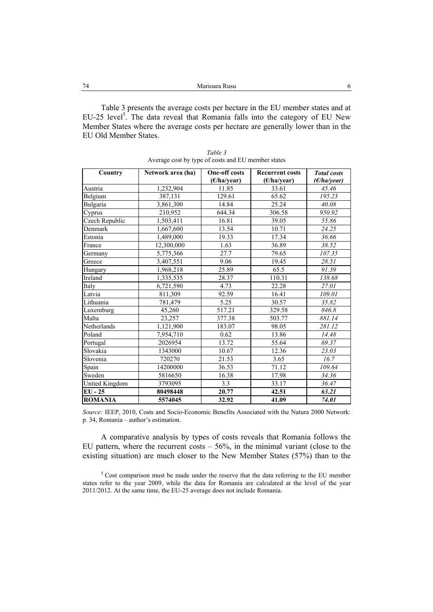Table 3 presents the average costs per hectare in the EU member states and at  $EU-25$  level<sup>5</sup>. The data reveal that Romania falls into the category of EU New Member States where the average costs per hectare are generally lower than in the EU Old Member States.

| Country        | Network area (ha) | <b>One-off costs</b> | <b>Recurrent costs</b> | <b>Total</b> costs |
|----------------|-------------------|----------------------|------------------------|--------------------|
|                |                   | (E/ha/year)          | (E/ha/year)            | (E/ha/year)        |
| Austria        | 1,232,904         | 11.85                | 33.61                  | 45.46              |
| Belgium        | 387,131           | 129.61               | 65.62                  | 195.23             |
| Bulgaria       | 3,861,300         | 14.84                | 25.24                  | 40.08              |
| Cyprus         | 210,952           | 644.34               | 306.58                 | 950.92             |
| Czech Republic | 1,503,411         | 16.81                | 39.05                  | 55.86              |
| Denmark        | 1,667,600         | 13.54                | 10.71                  | 24.25              |
| Estonia        | 1,489,000         | 19.33                | 17.34                  | 36.66              |
| France         | 12,300,000        | 1.63                 | 36.89                  | 38.52              |
| Germany        | 5,775,366         | 27.7                 | 79.65                  | 107.35             |
| Greece         | 3,407,551         | 9.06                 | 19.45                  | 28.51              |
| Hungary        | 1,968,218         | 25.89                | 65.5                   | 91.39              |
| Ireland        | 1,335,535         | 28.37                | 110.31                 | 138.68             |
| Italy          | 6,721,590         | 4.73                 | 22.28                  | 27.01              |
| Latvia         | 811,309           | 92.59                | 16.41                  | 109.01             |
| Lithuania      | 781,479           | 5.25                 | 30.57                  | 35.82              |
| Luxemburg      | 45,260            | 517.21               | 329.58                 | 846.8              |
| Malta          | 23,257            | 377.38               | 503.77                 | 881.14             |
| Netherlands    | 1,121,900         | 183.07               | 98.05                  | 281.12             |
| Poland         | 7,954,710         | 0.62                 | 13.86                  | 14.48              |
| Portugal       | 2026954           | 13.72                | 55.64                  | 69.37              |
| Slovakia       | 1343000           | 10.67                | 12.36                  | 23.03              |
| Slovenia       | 720270            | 21.53                | 3.65                   | 16.7               |
| Spain          | 14200000          | 36.53                | 71.12                  | 109.64             |
| Sweden         | 5816650           | 16.38                | 17.98                  | 34.36              |
| United Kingdom | 3793095           | 3.3                  | 33.17                  | 36.47              |
| $EU - 25$      | 80498448          | 20.77                | 42.51                  | 63.21              |
| <b>ROMANIA</b> | 5574045           | 32.92                | 41.09                  | 74.01              |

*Table 3*  Average cost by type of costs and EU member states

*Source:* IEEP, 2010, Costs and Socio-Economic Benefits Associated with the Natura 2000 Network: p. 34, Romania – author's estimation.

A comparative analysis by types of costs reveals that Romania follows the EU pattern, where the recurrent costs  $-56\%$ , in the minimal variant (close to the existing situation) are much closer to the New Member States (57%) than to the

 $5$  Cost comparison must be made under the reserve that the data referring to the EU member states refer to the year 2009, while the data for Romania are calculated at the level of the year 2011/2012. At the same time, the EU-25 average does not include Romania.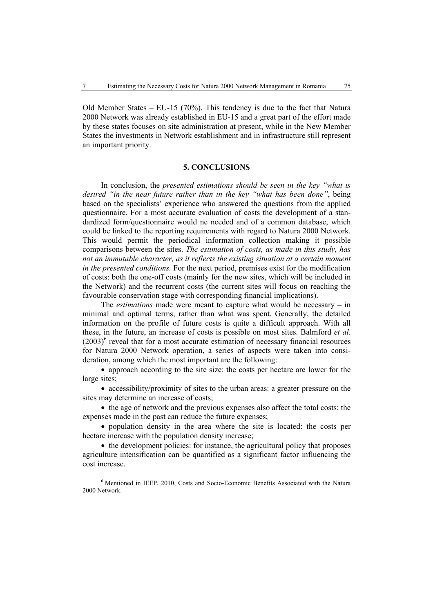Old Member States – EU-15 (70%). This tendency is due to the fact that Natura 2000 Network was already established in EU-15 and a great part of the effort made by these states focuses on site administration at present, while in the New Member States the investments in Network establishment and in infrastructure still represent an important priority.

### **5. CONCLUSIONS**

In conclusion, the *presented estimations should be seen in the key "what is desired "in the near future rather than in the key "what has been done"*, being based on the specialists' experience who answered the questions from the applied questionnaire. For a most accurate evaluation of costs the development of a standardized form/questionnaire would ne needed and of a common database, which could be linked to the reporting requirements with regard to Natura 2000 Network. This would permit the periodical information collection making it possible comparisons between the sites. *The estimation of costs, as made in this study, has not an immutable character, as it reflects the existing situation at a certain moment in the presented conditions.* For the next period, premises exist for the modification of costs: both the one-off costs (mainly for the new sites, which will be included in the Network) and the recurrent costs (the current sites will focus on reaching the favourable conservation stage with corresponding financial implications).

The *estimations* made were meant to capture what would be necessary – in minimal and optimal terms, rather than what was spent. Generally, the detailed information on the profile of future costs is quite a difficult approach. With all these, in the future, an increase of costs is possible on most sites. Balmford *et al*.  $(2003)^6$  reveal that for a most accurate estimation of necessary financial resources for Natura 2000 Network operation, a series of aspects were taken into consideration, among which the most important are the following:

• approach according to the site size: the costs per hectare are lower for the large sites;

• accessibility/proximity of sites to the urban areas: a greater pressure on the sites may determine an increase of costs;

• the age of network and the previous expenses also affect the total costs: the expenses made in the past can reduce the future expenses;

• population density in the area where the site is located: the costs per hectare increase with the population density increase;

• the development policies: for instance, the agricultural policy that proposes agriculture intensification can be quantified as a significant factor influencing the cost increase.

<sup>6</sup> Mentioned in IEEP, 2010, Costs and Socio-Economic Benefits Associated with the Natura 2000 Network.